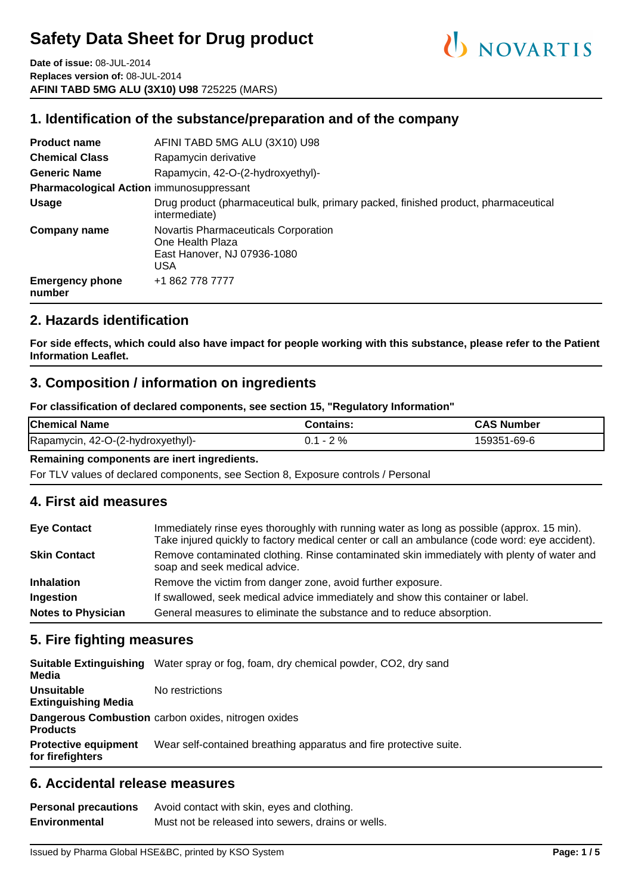**Date of issue:** 08-JUL-2014 **Replaces version of:** 08-JUL-2014 **AFINI TABD 5MG ALU (3X10) U98** 725225 (MARS)

#### **1. Identification of the substance/preparation and of the company**

| <b>Product name</b>                             | AFINI TABD 5MG ALU (3X10) U98                                                                        |  |  |  |  |
|-------------------------------------------------|------------------------------------------------------------------------------------------------------|--|--|--|--|
| <b>Chemical Class</b>                           | Rapamycin derivative                                                                                 |  |  |  |  |
| <b>Generic Name</b>                             | Rapamycin, 42-O-(2-hydroxyethyl)-                                                                    |  |  |  |  |
| <b>Pharmacological Action immunosuppressant</b> |                                                                                                      |  |  |  |  |
| Usage                                           | Drug product (pharmaceutical bulk, primary packed, finished product, pharmaceutical<br>intermediate) |  |  |  |  |
| <b>Company name</b>                             | Novartis Pharmaceuticals Corporation<br>One Health Plaza<br>East Hanover, NJ 07936-1080<br>USA       |  |  |  |  |
| <b>Emergency phone</b><br>number                | +1 862 778 7777                                                                                      |  |  |  |  |

#### **2. Hazards identification**

**For side effects, which could also have impact for people working with this substance, please refer to the Patient Information Leaflet.**

#### **3. Composition / information on ingredients**

**For classification of declared components, see section 15, "Regulatory Information"**

| <b>Chemical Name</b>              | Contains:   | <b>CAS Number</b> |
|-----------------------------------|-------------|-------------------|
| Rapamycin, 42-O-(2-hydroxyethyl)- | $0.1 - 2\%$ | 159351-69-6       |

#### **Remaining components are inert ingredients.**

For TLV values of declared components, see Section 8, Exposure controls / Personal

#### **4. First aid measures**

| <b>Eye Contact</b>        | Immediately rinse eyes thoroughly with running water as long as possible (approx. 15 min).<br>Take injured quickly to factory medical center or call an ambulance (code word: eye accident). |  |  |
|---------------------------|----------------------------------------------------------------------------------------------------------------------------------------------------------------------------------------------|--|--|
| <b>Skin Contact</b>       | Remove contaminated clothing. Rinse contaminated skin immediately with plenty of water and<br>soap and seek medical advice.                                                                  |  |  |
| <b>Inhalation</b>         | Remove the victim from danger zone, avoid further exposure.                                                                                                                                  |  |  |
| Ingestion                 | If swallowed, seek medical advice immediately and show this container or label.                                                                                                              |  |  |
| <b>Notes to Physician</b> | General measures to eliminate the substance and to reduce absorption.                                                                                                                        |  |  |

#### **5. Fire fighting measures**

| Media                                           | <b>Suitable Extinguishing</b> Water spray or fog, foam, dry chemical powder, CO2, dry sand |
|-------------------------------------------------|--------------------------------------------------------------------------------------------|
| <b>Unsuitable</b><br><b>Extinguishing Media</b> | No restrictions                                                                            |
| <b>Products</b>                                 | Dangerous Combustion carbon oxides, nitrogen oxides                                        |
| <b>Protective equipment</b><br>for firefighters | Wear self-contained breathing apparatus and fire protective suite.                         |

#### **6. Accidental release measures**

| <b>Personal precautions</b> | Avoid contact with skin, eyes and clothing.        |  |  |  |  |
|-----------------------------|----------------------------------------------------|--|--|--|--|
| <b>Environmental</b>        | Must not be released into sewers, drains or wells. |  |  |  |  |

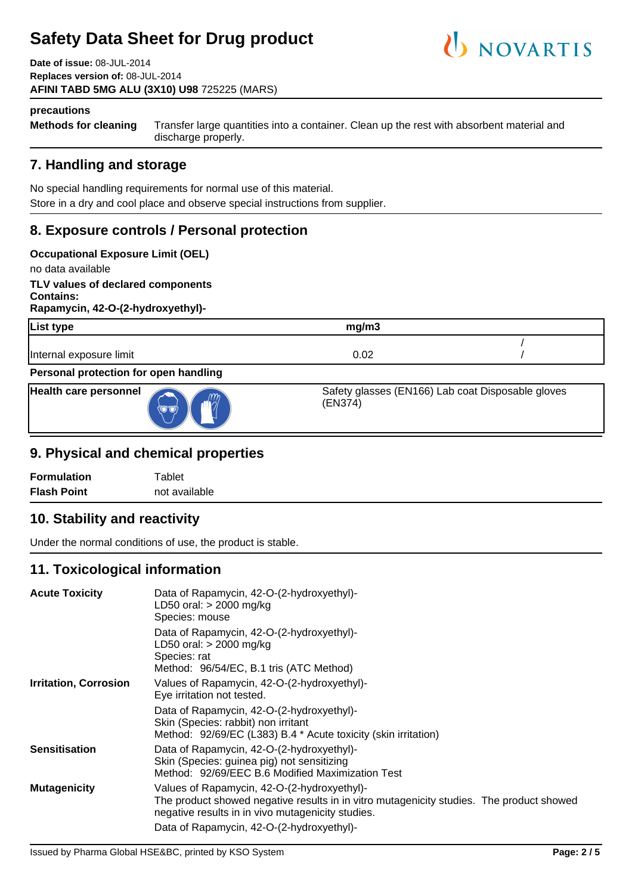**Date of issue:** 08-JUL-2014 **Replaces version of:** 08-JUL-2014 **AFINI TABD 5MG ALU (3X10) U98** 725225 (MARS)



#### **precautions**

**Methods for cleaning** Transfer large quantities into a container. Clean up the rest with absorbent material and discharge properly.

## **7. Handling and storage**

No special handling requirements for normal use of this material. Store in a dry and cool place and observe special instructions from supplier.

## **8. Exposure controls / Personal protection**

#### **Occupational Exposure Limit (OEL)**

no data available

**TLV values of declared components Contains: Rapamycin, 42-O-(2-hydroxyethyl)-**

| <b>List type</b>                      | mg/m3                                                        |  |
|---------------------------------------|--------------------------------------------------------------|--|
| Internal exposure limit               | 0.02                                                         |  |
| Personal protection for open handling |                                                              |  |
| <b>Health care personnel</b>          | Safety glasses (EN166) Lab coat Disposable gloves<br>(EN374) |  |

#### **9. Physical and chemical properties**

| <b>Formulation</b> | $\tau$ ablet  |
|--------------------|---------------|
| <b>Flash Point</b> | not available |

#### **10. Stability and reactivity**

Under the normal conditions of use, the product is stable.

#### **11. Toxicological information**

| <b>Acute Toxicity</b>        | Data of Rapamycin, 42-O-(2-hydroxyethyl)-<br>LD50 oral: $>$ 2000 mg/kg<br>Species: mouse                                                                                                     |
|------------------------------|----------------------------------------------------------------------------------------------------------------------------------------------------------------------------------------------|
|                              | Data of Rapamycin, 42-O-(2-hydroxyethyl)-<br>LD50 oral: $>$ 2000 mg/kg<br>Species: rat<br>Method: 96/54/EC, B.1 tris (ATC Method)                                                            |
| <b>Irritation, Corrosion</b> | Values of Rapamycin, 42-O-(2-hydroxyethyl)-<br>Eye irritation not tested.                                                                                                                    |
|                              | Data of Rapamycin, 42-O-(2-hydroxyethyl)-<br>Skin (Species: rabbit) non irritant<br>Method: 92/69/EC (L383) B.4 * Acute toxicity (skin irritation)                                           |
| <b>Sensitisation</b>         | Data of Rapamycin, 42-O-(2-hydroxyethyl)-<br>Skin (Species: guinea pig) not sensitizing<br>Method: 92/69/EEC B.6 Modified Maximization Test                                                  |
| <b>Mutagenicity</b>          | Values of Rapamycin, 42-O-(2-hydroxyethyl)-<br>The product showed negative results in in vitro mutagenicity studies. The product showed<br>negative results in in vivo mutagenicity studies. |
|                              | Data of Rapamycin, 42-O-(2-hydroxyethyl)-                                                                                                                                                    |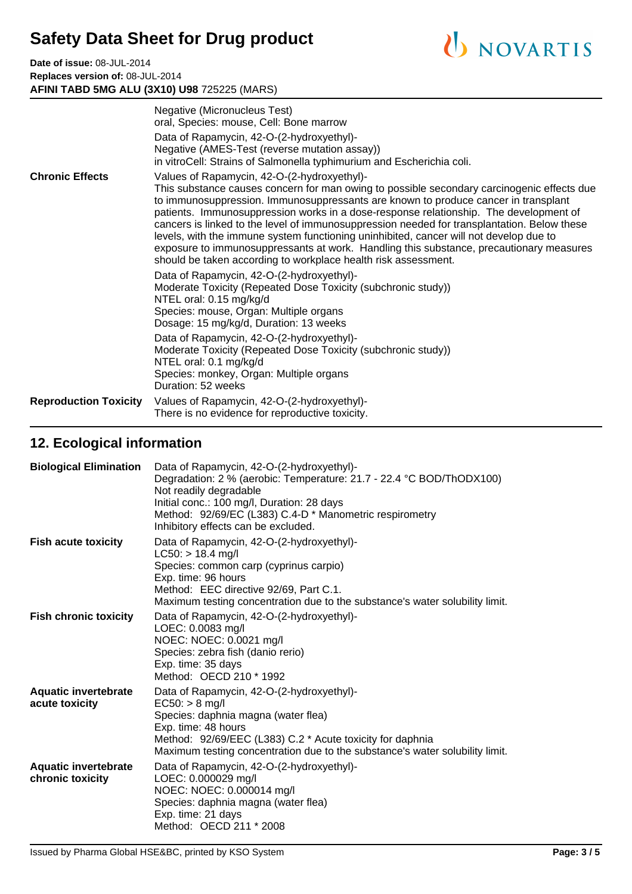**Date of issue:** 08-JUL-2014 **Replaces version of:** 08-JUL-2014 **AFINI TABD 5MG ALU (3X10) U98** 725225 (MARS)

|                              | Negative (Micronucleus Test)<br>oral, Species: mouse, Cell: Bone marrow                                                                                                                                                                                                                                                                                                                                                                                                                                                                                                                                                                                                        |  |
|------------------------------|--------------------------------------------------------------------------------------------------------------------------------------------------------------------------------------------------------------------------------------------------------------------------------------------------------------------------------------------------------------------------------------------------------------------------------------------------------------------------------------------------------------------------------------------------------------------------------------------------------------------------------------------------------------------------------|--|
|                              | Data of Rapamycin, 42-O-(2-hydroxyethyl)-<br>Negative (AMES-Test (reverse mutation assay))<br>in vitroCell: Strains of Salmonella typhimurium and Escherichia coli.                                                                                                                                                                                                                                                                                                                                                                                                                                                                                                            |  |
| <b>Chronic Effects</b>       | Values of Rapamycin, 42-O-(2-hydroxyethyl)-<br>This substance causes concern for man owing to possible secondary carcinogenic effects due<br>to immunosuppression. Immunosuppressants are known to produce cancer in transplant<br>patients. Immunosuppression works in a dose-response relationship. The development of<br>cancers is linked to the level of immunosuppression needed for transplantation. Below these<br>levels, with the immune system functioning uninhibited, cancer will not develop due to<br>exposure to immunosuppressants at work. Handling this substance, precautionary measures<br>should be taken according to workplace health risk assessment. |  |
|                              | Data of Rapamycin, 42-O-(2-hydroxyethyl)-<br>Moderate Toxicity (Repeated Dose Toxicity (subchronic study))<br>NTEL oral: 0.15 mg/kg/d<br>Species: mouse, Organ: Multiple organs<br>Dosage: 15 mg/kg/d, Duration: 13 weeks                                                                                                                                                                                                                                                                                                                                                                                                                                                      |  |
|                              | Data of Rapamycin, 42-O-(2-hydroxyethyl)-<br>Moderate Toxicity (Repeated Dose Toxicity (subchronic study))<br>NTEL oral: 0.1 mg/kg/d<br>Species: monkey, Organ: Multiple organs<br>Duration: 52 weeks                                                                                                                                                                                                                                                                                                                                                                                                                                                                          |  |
| <b>Reproduction Toxicity</b> | Values of Rapamycin, 42-O-(2-hydroxyethyl)-<br>There is no evidence for reproductive toxicity.                                                                                                                                                                                                                                                                                                                                                                                                                                                                                                                                                                                 |  |

## **12. Ecological information**

| <b>Biological Elimination</b>                   | Data of Rapamycin, 42-O-(2-hydroxyethyl)-<br>Degradation: 2 % (aerobic: Temperature: 21.7 - 22.4 °C BOD/ThODX100)<br>Not readily degradable<br>Initial conc.: 100 mg/l, Duration: 28 days<br>Method: 92/69/EC (L383) C.4-D * Manometric respirometry<br>Inhibitory effects can be excluded. |
|-------------------------------------------------|---------------------------------------------------------------------------------------------------------------------------------------------------------------------------------------------------------------------------------------------------------------------------------------------|
| <b>Fish acute toxicity</b>                      | Data of Rapamycin, 42-O-(2-hydroxyethyl)-<br>$LC50:$ > 18.4 mg/l<br>Species: common carp (cyprinus carpio)<br>Exp. time: 96 hours<br>Method: EEC directive 92/69, Part C.1.<br>Maximum testing concentration due to the substance's water solubility limit.                                 |
| <b>Fish chronic toxicity</b>                    | Data of Rapamycin, 42-O-(2-hydroxyethyl)-<br>LOEC: 0.0083 mg/l<br>NOEC: NOEC: 0.0021 mg/l<br>Species: zebra fish (danio rerio)<br>Exp. time: 35 days<br>Method: OECD 210 * 1992                                                                                                             |
| <b>Aquatic invertebrate</b><br>acute toxicity   | Data of Rapamycin, 42-O-(2-hydroxyethyl)-<br>$EC50: > 8$ mg/l<br>Species: daphnia magna (water flea)<br>Exp. time: 48 hours<br>Method: 92/69/EEC (L383) C.2 * Acute toxicity for daphnia<br>Maximum testing concentration due to the substance's water solubility limit.                    |
| <b>Aquatic invertebrate</b><br>chronic toxicity | Data of Rapamycin, 42-O-(2-hydroxyethyl)-<br>LOEC: 0.000029 mg/l<br>NOEC: NOEC: 0.000014 mg/l<br>Species: daphnia magna (water flea)<br>Exp. time: 21 days<br>Method: OECD 211 * 2008                                                                                                       |

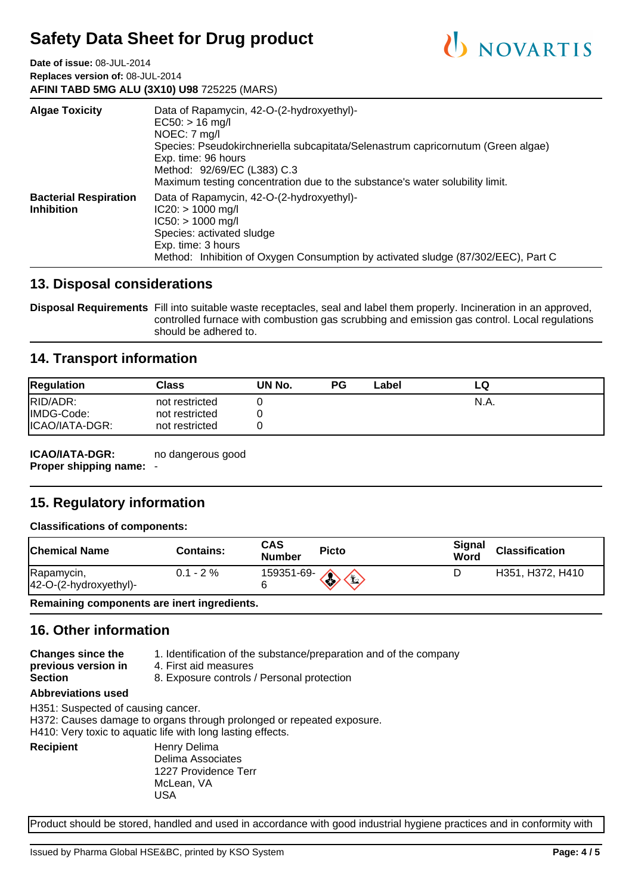**Date of issue:** 08-JUL-2014 **Replaces version of:** 08-JUL-2014 **AFINI TABD 5MG ALU (3X10) U98** 725225 (MARS)

| <b>Algae Toxicity</b>                             | Data of Rapamycin, 42-O-(2-hydroxyethyl)-<br>$EC50:$ > 16 mg/l<br>NOEC: 7 mg/l<br>Species: Pseudokirchneriella subcapitata/Selenastrum capricornutum (Green algae)<br>Exp. time: 96 hours<br>Method: 92/69/EC (L383) C.3<br>Maximum testing concentration due to the substance's water solubility limit. |
|---------------------------------------------------|----------------------------------------------------------------------------------------------------------------------------------------------------------------------------------------------------------------------------------------------------------------------------------------------------------|
| <b>Bacterial Respiration</b><br><b>Inhibition</b> | Data of Rapamycin, 42-O-(2-hydroxyethyl)-<br>$IC20: > 1000$ mg/l<br>$IC50: > 1000$ mg/l<br>Species: activated sludge<br>Exp. time: 3 hours<br>Method: Inhibition of Oxygen Consumption by activated sludge (87/302/EEC), Part C                                                                          |

#### **13. Disposal considerations**

**Disposal Requirements** Fill into suitable waste receptacles, seal and label them properly. Incineration in an approved, controlled furnace with combustion gas scrubbing and emission gas control. Local regulations should be adhered to.

#### **14. Transport information**

| <b>Regulation</b> | Class          | UN No. | РG | Label | ∟Q   |  |
|-------------------|----------------|--------|----|-------|------|--|
| RID/ADR:          | not restricted |        |    |       | N.A. |  |
| IMDG-Code:        | not restricted |        |    |       |      |  |
| ICAO/IATA-DGR:    | not restricted |        |    |       |      |  |

**ICAO/IATA-DGR: Proper shipping name:** no dangerous good

## **15. Regulatory information**

#### **Classifications of components:**

| Chemical Name                        | <b>Contains:</b> | CAS<br><b>Number</b> | <b>Picto</b>                                                            | Signal<br>Word | <b>Classification</b> |
|--------------------------------------|------------------|----------------------|-------------------------------------------------------------------------|----------------|-----------------------|
| Rapamycin,<br>42-O-(2-hydroxyethyl)- | $0.1 - 2 \%$     | 159351-69-           | $\left\langle \left\langle \right\rangle \right\rangle$<br>$\mathbf{E}$ |                | H351, H372, H410      |

**Remaining components are inert ingredients.**

## **16. Other information**

| <b>Changes since the</b>  | 1. Identification of the substance/preparation and of the company |
|---------------------------|-------------------------------------------------------------------|
| previous version in       | 4. First aid measures                                             |
| <b>Section</b>            | 8. Exposure controls / Personal protection                        |
| <b>Abbreviations used</b> |                                                                   |

H351: Suspected of causing cancer.

H372: Causes damage to organs through prolonged or repeated exposure.

H410: Very toxic to aquatic life with long lasting effects.

**Recipient** Henry Delima Delima Associates 1227 Providence Terr McLean, VA USA

Product should be stored, handled and used in accordance with good industrial hygiene practices and in conformity with

U NOVARTIS